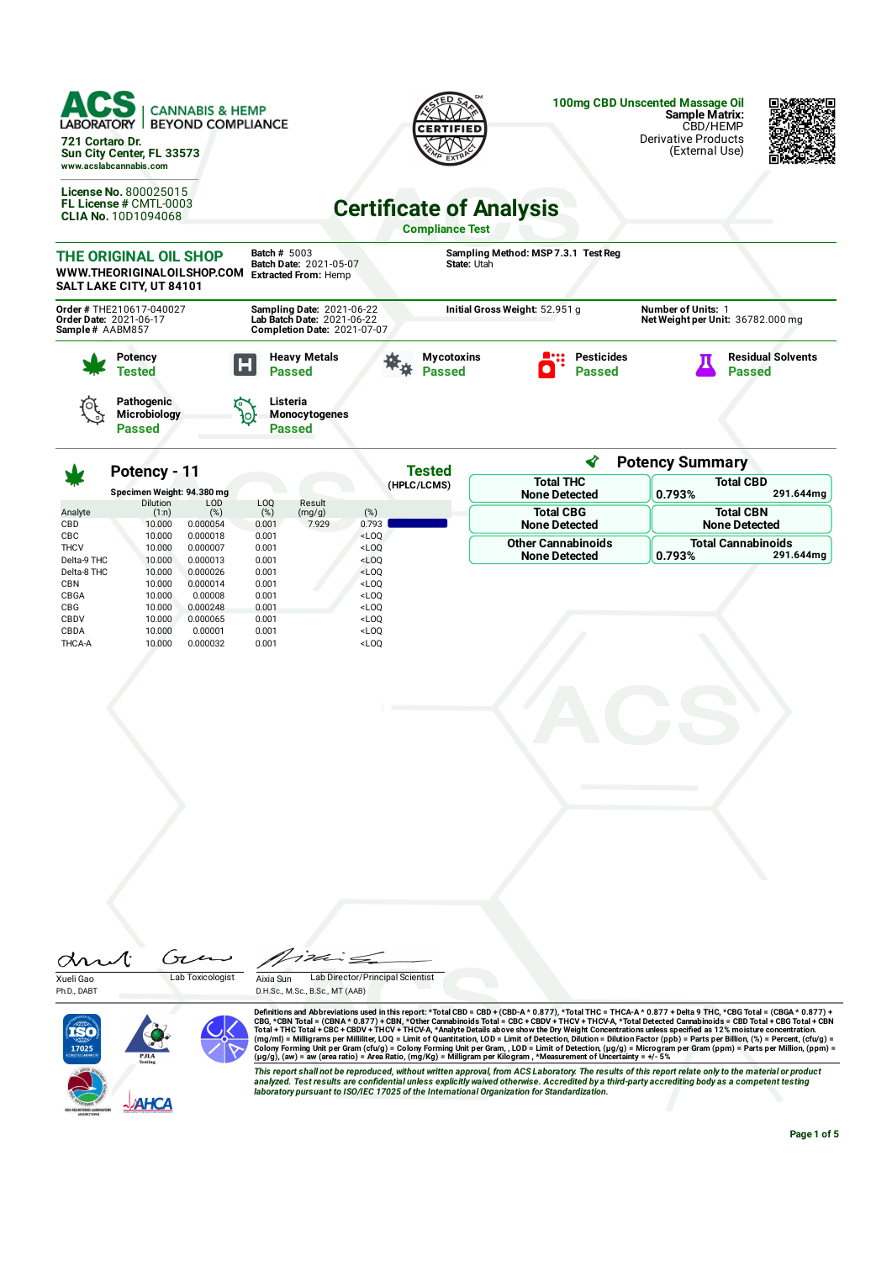| ACS<br><b>LABORATORY</b><br>721 Cortaro Dr. | <b>CANNABIS &amp; HEMP</b><br><b>BEYOND COMPLIANCE</b><br>Sun City Center, FL 33573<br>www.acslabcannabis.com |                                                                                                      | <b>CERTIFIED</b>                                         |                                     | 100mg CBD Unscented Massage Oil<br><b>Sample Matrix:</b><br>CBD/HEMP<br><b>Derivative Products</b><br>(External Use) |                                           |
|---------------------------------------------|---------------------------------------------------------------------------------------------------------------|------------------------------------------------------------------------------------------------------|----------------------------------------------------------|-------------------------------------|----------------------------------------------------------------------------------------------------------------------|-------------------------------------------|
|                                             | <b>License No. 800025015</b><br>FL License # CMTL-0003<br><b>CLIA No. 10D1094068</b>                          |                                                                                                      | <b>Certificate of Analysis</b><br><b>Compliance Test</b> |                                     |                                                                                                                      |                                           |
|                                             | THE ORIGINAL OIL SHOP<br>WWW.THEORIGINALOILSHOP.COM<br>SALT LAKE CITY, UT 84101                               | <b>Batch # 5003</b><br>Batch Date: 2021-05-07<br><b>Extracted From: Hemp</b>                         | State: Utah                                              | Sampling Method: MSP 7.3.1 Test Reg |                                                                                                                      |                                           |
| Order Date: 2021-06-17<br>Sample # AABM857  | Order # THE210617-040027                                                                                      | <b>Sampling Date: 2021-06-22</b><br>Lab Batch Date: 2021-06-22<br><b>Completion Date: 2021-07-07</b> | Initial Gross Weight: 52.951 g                           |                                     | Number of Units: 1<br>Net Weight per Unit: 36782.000 mg                                                              |                                           |
|                                             | Potency<br>Tested                                                                                             | <b>Heavy Metals</b><br>Ы<br><b>Passed</b>                                                            | <b>Mycotoxins</b><br><b>Passed</b>                       | <b>Pesticides</b><br><b>Passed</b>  |                                                                                                                      | <b>Residual Solvents</b><br><b>Passed</b> |
|                                             | <b>Pathogenic</b><br>Microbiology                                                                             | Listeria<br><b>Monocytogenes</b>                                                                     |                                                          |                                     |                                                                                                                      |                                           |

∢ **Potency Summary Tested Potency - 11 Total THC Total CBD (HPLC/LCMS) Specimen Weight: 94.380 mg 0.793% 291.644mg None Detected** Dilution (1:n) LOD (%) LOQ (%) Result (mg/g) (%) Analyte **Total CBG Total CBN** CBD 10.000 0.000054 0.001 7.929 0.793<br>CBC 10.000 0.000018 0.001 < 0.00 **None Detected None Detected** CBC 10.000 0.000018 0.001 <LOQ **Other Cannabinoids Total Cannabinoids** THCV 10.000 0.000007 0.001 <LOQ<br>Delta-9 THC 10.000 0.000007 0.001 <LOQ **None Detected 0.793% 291.644mg** Delta-9 THC 10.000 0.000013 0.001 <LOQ Delta-8 THC 10.000 0.000026 0.001 <LOQ<br>CBN 10.000 0.000014 0.001 <LOQ CBN 10.000 0.000014 0.001 <LOQ<br>CBGA 10.000 0.00008 0.001 <LOQ CBGA 10.000 0.00008 0.001 <LOQ CBG 10.000 0.000248 0.001 <LOQ CBDV 10.000 0.000065 0.001 <LOQ CBDA 10.000 0.00001 0.001 <LOQ<br>THCA-A 10.000 0.000032 0.001 <LOQ THCA-A 10.000 0.000032 0.001 <LOQ

| drut | U |
|------|---|
|      | . |

**Passed**

Xueli Gao Lab Toxicologist Ph.D., DABT



 $\overline{\cdot}$ 

**Passed**

**Aixia Sun Lab Director/Principal Scientist** D.H.Sc., M.Sc., B.Sc., MT (AAB)

Definitions and Abbreviations used in this report: \*Total CBD = CBD + (CBD-A \* 0.877), \*Total THC = THCA-A \* 0.877) + Delta 9 THC, \*CBG Total = (CBGA \* 0.877) +<br>CBG, \*CBN Total = (CBNA \* 0.877) + CBN, \*Other Cannabinoids T

This report shall not be reproduced, without written approval, from ACS Laboratory. The results of this report relate only to the material or product<br>analyzed. Test results are confidential unless explicitly waived otherwi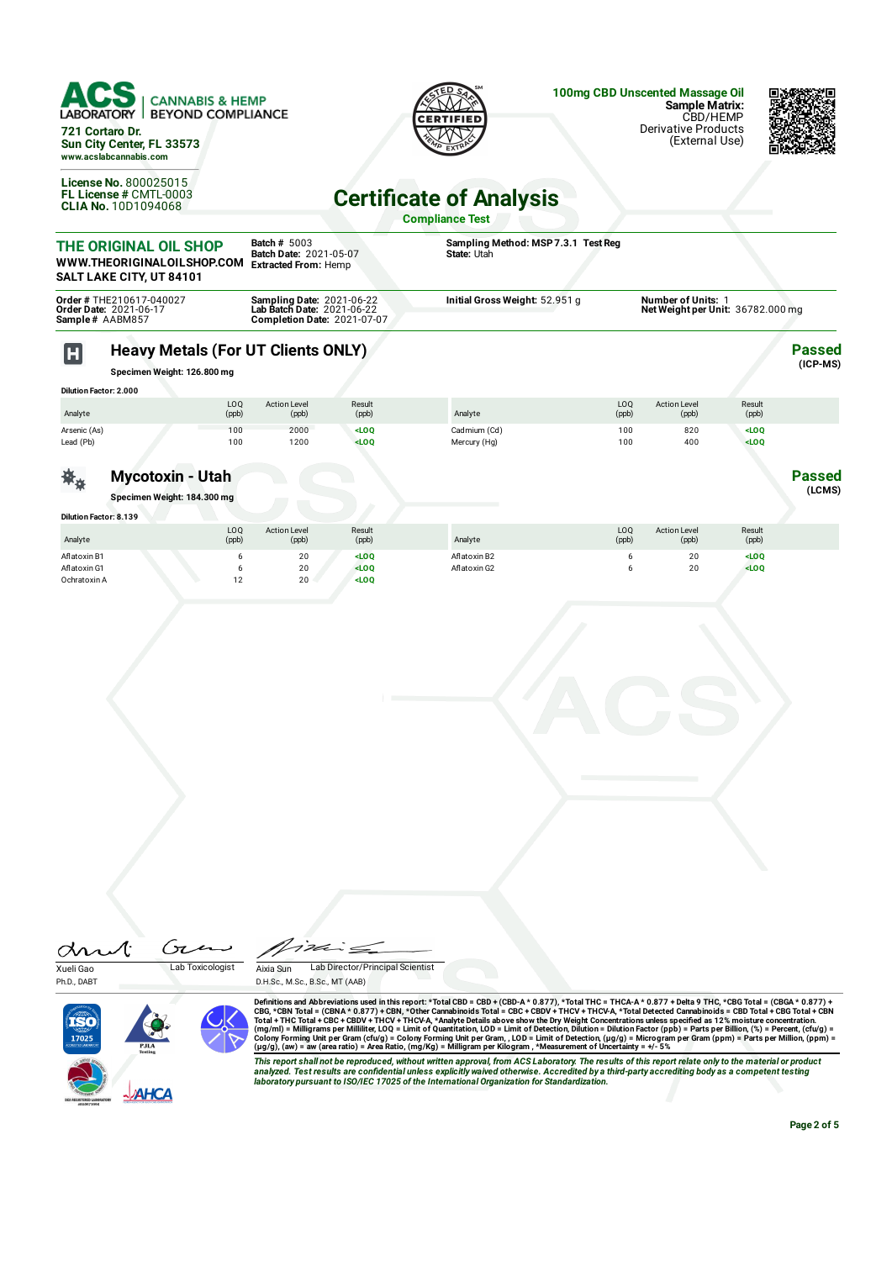

**Specimen Weight: 126.800 mg**

| $ensuremath{\sim}$ |  |  |
|--------------------|--|--|

| Dilution Factor: 2.000 |                           |                              |                                                                                                        |              |              |                              |                 |  |
|------------------------|---------------------------|------------------------------|--------------------------------------------------------------------------------------------------------|--------------|--------------|------------------------------|-----------------|--|
| Analyte                | L <sub>0</sub> Q<br>(ppb) | <b>Action Level</b><br>(ppb) | Result<br>(ppb)                                                                                        | Analyte      | LOQ<br>(ppb) | <b>Action Level</b><br>(ppb) | Result<br>(ppb) |  |
| Arsenic (As)           | 100                       | 2000                         | $<$ LOQ                                                                                                | Cadmium (Cd) | 100          | 820                          | $<$ LOQ         |  |
| Lead (Pb)              | 100                       | 1200                         | <loq< td=""><td>Mercury (Hg)</td><td>100</td><td>400</td><td><math>&lt;</math>LOO</td><td></td></loq<> | Mercury (Hg) | 100          | 400                          | $<$ LOO         |  |
|                        |                           |                              |                                                                                                        |              |              |                              |                 |  |

## **Mycotoxin - Utah**

**Specimen Weight: 184.300 mg**

茶 $\ast$ 

| <b>Dilution Factor: 8.139</b> |                           |                              |                 |              |                          |                              |                 |  |
|-------------------------------|---------------------------|------------------------------|-----------------|--------------|--------------------------|------------------------------|-----------------|--|
| Analyte                       | L <sub>0</sub> Q<br>(ppb) | <b>Action Level</b><br>(ppb) | Result<br>(ppb) | Analyte      | LO <sub>Q</sub><br>(ppb) | <b>Action Level</b><br>(ppb) | Result<br>(ppb) |  |
| Aflatoxin B1                  |                           | 20                           | $<$ LOO         | Aflatoxin B2 |                          | 20                           | $<$ LOQ         |  |
| Aflatoxin G1                  |                           | 20                           | $<$ LOO         | Aflatoxin G2 |                          | 20                           | $<$ LOQ         |  |
| Ochratoxin A                  | 12<br>. L                 | 20                           | $<$ LOQ         |              |                          |                              |                 |  |

Æ Ćπ  $\alpha$ Xueli Gao Lab Toxicologist Aixia Sun Lab Director/Principal Scientist Ph.D., DART D.H.Sc., M.Sc., B.Sc., MT (AAB) TSÒ

Definitions and Abbreviations used in this report: \*Total CBD = CBD + (CBD-A \* 0.877), \*Total THC = THCA-A \* 0.877) + Delta 9 THC, \*CBG Total = (CBGA \* 0.877) + Total THC = THCA-A \* 0.877) + Total THC = THCA-A \* 0.877 + De

This report shall not be reproduced, without written approval, from ACS Laboratory. The results of this report relate only to the material or product<br>analyzed. Test results are confidential unless explicitly waived otherwi *laboratory pursuant to ISO/IEC 17025 of the International Organization for Standardization.*

**Page 2 of 5**

**Passed (LCMS)**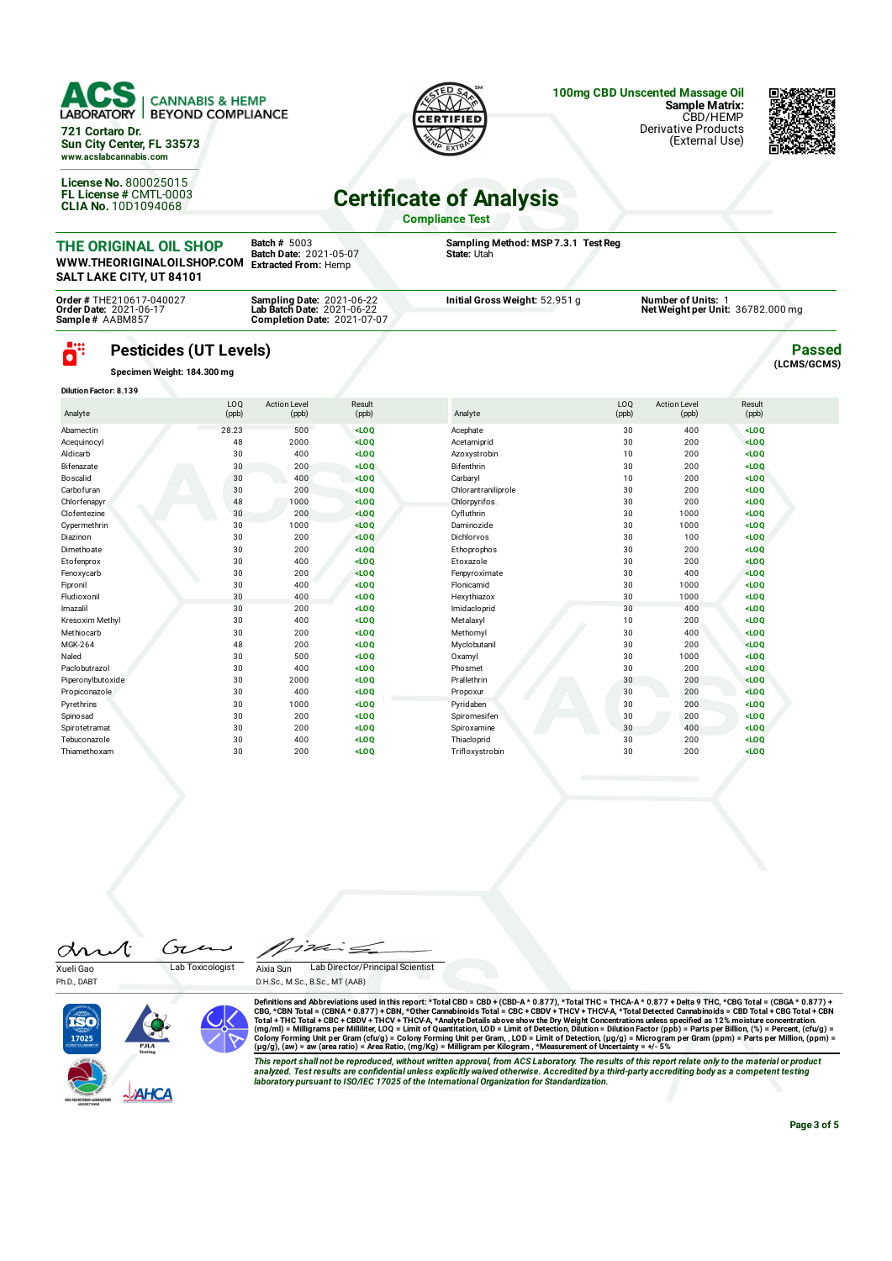

ö" **Pesticides (UT Levels)**

**Specimen Weight: 184.300 mg**

| <b>Dilution Factor: 8.139</b> |                          |                              |                 |                     |                          |                              |                 |  |
|-------------------------------|--------------------------|------------------------------|-----------------|---------------------|--------------------------|------------------------------|-----------------|--|
| Analyte                       | LO <sub>0</sub><br>(ppb) | <b>Action Level</b><br>(ppb) | Result<br>(ppb) | Analyte             | LO <sub>0</sub><br>(ppb) | <b>Action Level</b><br>(ppb) | Result<br>(ppb) |  |
| Abamectin                     | 28.23                    | 500                          | $<$ LOQ         | Acephate            | 30                       | 400                          | $<$ LOQ         |  |
| Acequinocyl                   | 48                       | 2000                         | $<$ LOQ         | Acetamiprid         | 30                       | 200                          | $<$ LOO         |  |
| Aldicarb                      | 30                       | 400                          | $<$ LOQ         | Azoxystrobin        | 10                       | 200                          | $<$ LOQ         |  |
| Bifenazate                    | 30                       | 200                          | $<$ LOQ         | Bifenthrin          | 30                       | 200                          | $<$ LOQ         |  |
| Boscalid                      | 30                       | 400                          | $<$ LOQ         | Carbaryl            | 10                       | 200                          | $<$ LOQ         |  |
| Carbofuran                    | 30                       | 200                          | $<$ LOQ         | Chlorantraniliprole | 30                       | 200                          | $<$ LOQ         |  |
| Chlorfenapyr                  | 48                       | 1000                         | LOO             | Chlorpyrifos        | 30                       | 200                          | $<$ LOQ         |  |
| Clofentezine                  | 30                       | 200                          | $<$ LOQ         | Cyfluthrin          | 30                       | 1000                         | $<$ LOQ         |  |
| Cypermethrin                  | 30                       | 1000                         | $<$ LOO         | Daminozide          | 30                       | 1000                         | $<$ LOO         |  |
| Diazinon                      | 30                       | 200                          | LOO             | Dichlorvos          | 30                       | 100                          | $<$ LOO         |  |
| Dimethoate                    | 30                       | 200                          | $<$ LOQ         | Ethoprophos         | 30                       | 200                          | $<$ LOQ         |  |
| Etofenprox                    | 30                       | 400                          | $<$ LOQ         | Etoxazole           | 30                       | 200                          | $<$ LOQ         |  |
| Fenoxycarb                    | 30                       | 200                          | $<$ LOQ         | Fenpyroximate       | 30                       | 400                          | $<$ LOO         |  |
| Fipronil                      | 30                       | 400                          | $<$ LOQ         | Flonicamid          | 30                       | 1000                         | $<$ LOQ         |  |
| Fludioxonil                   | 30                       | 400                          | $<$ LOQ         | Hexythiazox         | 30                       | 1000                         | $<$ LOO         |  |
| Imazalil                      | 30                       | 200                          | $<$ LOQ         | Imidacloprid        | 30                       | 400                          | $<$ LOQ         |  |
| Kresoxim Methyl               | 30                       | 400                          | $<$ LOQ         | Metalaxyl           | 10                       | 200                          | $<$ LOQ         |  |
| Methiocarb                    | 30                       | 200                          | $<$ LOQ         | Methomyl            | 30                       | 400                          | $<$ LOQ         |  |
| MGK-264                       | 48                       | 200                          | $<$ LOQ         | Myclobutanil        | 30                       | 200                          | $<$ LOO         |  |
| Naled                         | 30                       | 500                          | $<$ LOQ         | Oxamyl              | 30                       | 1000                         | $<$ LOQ         |  |
| Paclobutrazol                 | 30                       | 400                          | $<$ LOQ         | Phosmet             | 30                       | 200                          | LOO             |  |
| Piperonylbutoxide             | 30                       | 2000                         | $<$ LOQ         | Prallethrin         | 30                       | 200                          | LOO             |  |
| Propiconazole                 | 30                       | 400                          | $<$ LOQ         | Propoxur            | 30                       | 200                          | LOO             |  |
| Pyrethrins                    | 30                       | 1000                         | $<$ LOQ         | Pyridaben           | 30                       | 200                          | $<$ LOO         |  |
| Spinosad                      | 30                       | 200                          | $<$ LOQ         | Spiromesifen        | 30                       | 200                          | $<$ LOQ         |  |
| Spirotetramat                 | 30                       | 200                          | $<$ LOQ         | Spiroxamine         | 30                       | 400                          | $<$ LOQ         |  |
| Tebuconazole                  | 30                       | 400                          | $<$ LOQ         | Thiacloprid         | 30                       | 200                          | $<$ LOQ         |  |
| Thiamethoxam                  | 30                       | 200                          | $<$ LOQ         | Trifloxystrobin     | 30                       | 200                          | $<$ LOQ         |  |

drut Ćπ  $\overline{\phantom{a}}$ Xueli Gao Lab Toxicologist

Ph.D., DART



Aixia Sun Lab Director/Principal Scientist D.H.Sc., M.Sc., B.Sc., MT (AAB)

Definitions and Abbreviations used in this report: \*Total CBD = CBD + (CBD-A \* 0.877), \*Total THC = THCA-A \* 0.877) + Delta 9 THC, \*CBG Total = (CBGA \* 0.877) + Total THC = THCA-A \* 0.877) + Total THC = THCA-A \* 0.877 + De

This report shall not be reproduced, without written approval, from ACS Laboratory. The results of this report relate only to the material or product<br>analyzed. Test results are confidential unless explicitly waived otherwi *laboratory pursuant to ISO/IEC 17025 of the International Organization for Standardization.*

**Passed (LCMS/GCMS)**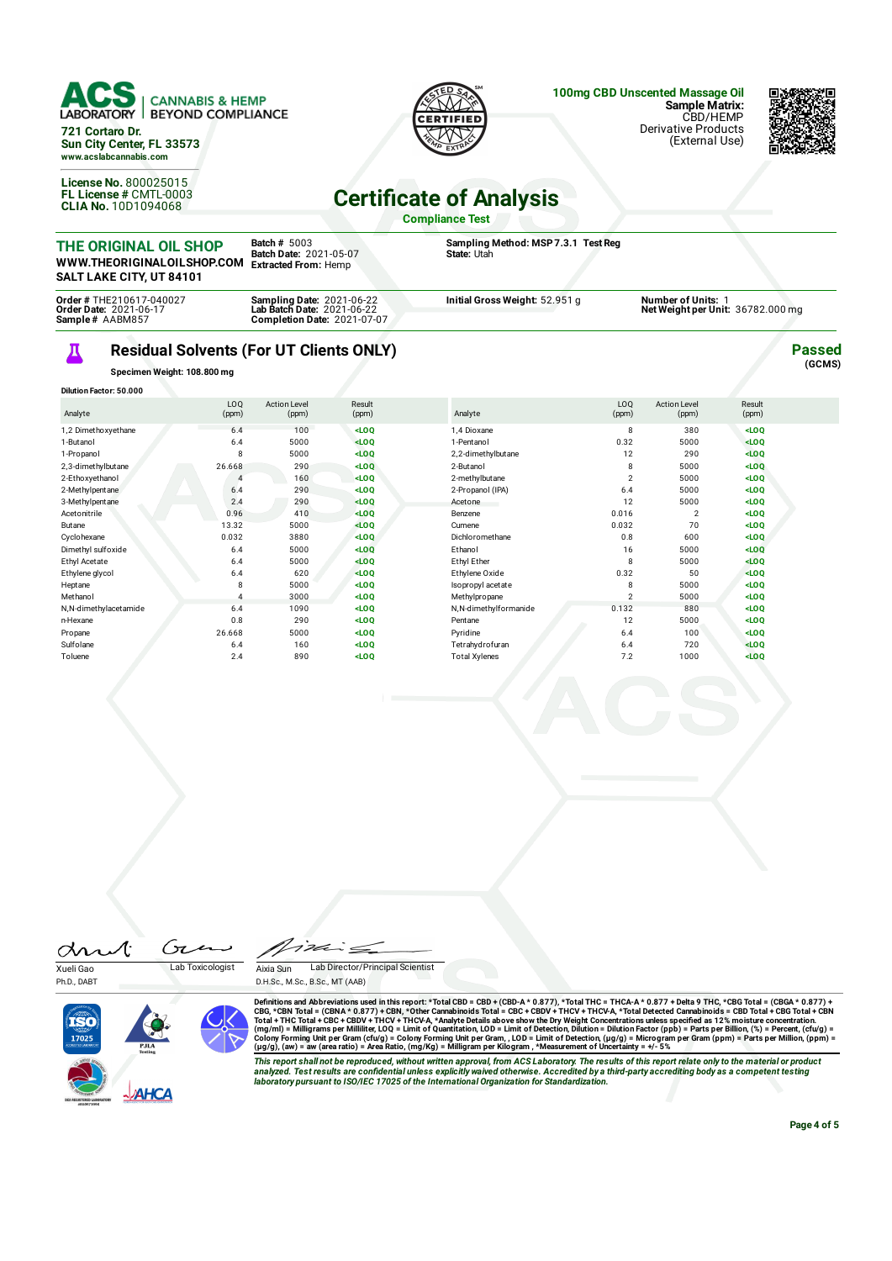

## Д **Residual Solvents (For UT Clients ONLY)**

**Completion Date:** 2021-07-07

**Specimen Weight: 108.800 mg**

| <b>Dilution Factor: 50.000</b> |                |                              |                 |                       |                          |                              |                 |  |
|--------------------------------|----------------|------------------------------|-----------------|-----------------------|--------------------------|------------------------------|-----------------|--|
| Analyte                        | LOQ<br>(ppm)   | <b>Action Level</b><br>(ppm) | Result<br>(ppm) | Analyte               | LO <sub>O</sub><br>(ppm) | <b>Action Level</b><br>(ppm) | Result<br>(ppm) |  |
| 1,2 Dimethoxyethane            | 6.4            | 100                          | $<$ LOQ         | 1,4 Dioxane           | 8                        | 380                          | $<$ LOQ         |  |
| 1-Butanol                      | 6.4            | 5000                         | $<$ LOQ         | 1-Pentanol            | 0.32                     | 5000                         | LOO             |  |
| 1-Propanol                     | 8              | 5000                         | LOO             | 2,2-dimethylbutane    | 12                       | 290                          | $<$ LOQ         |  |
| 2,3-dimethylbutane             | 26.668         | 290                          | LOO             | 2-Butanol             | 8                        | 5000                         | $<$ LOQ         |  |
| 2-Ethoxyethanol                | 4              | 160                          | $<$ LOQ         | 2-methylbutane        | $\overline{2}$           | 5000                         | $<$ LOQ         |  |
| 2-Methylpentane                | 6.4            | 290                          | $<$ LOQ         | 2-Propanol (IPA)      | 6.4                      | 5000                         | $<$ LOQ         |  |
| 3-Methylpentane                | 2.4            | 290                          | LOO             | Acetone               | 12                       | 5000                         | $<$ LOQ         |  |
| Acetonitrile                   | 0.96           | 410                          | $<$ LOQ         | Benzene               | 0.016                    | 2                            | $<$ LOQ         |  |
| Butane                         | 13.32          | 5000                         | $<$ LOQ         | Cumene                | 0.032                    | 70                           | $<$ LOQ         |  |
| Cyclohexane                    | 0.032          | 3880                         | LOO             | Dichloromethane       | 0.8                      | 600                          | $<$ LOQ         |  |
| Dimethyl sulfoxide             | 6.4            | 5000                         | $<$ LOQ         | Ethanol               | 16                       | 5000                         | $<$ LOQ         |  |
| Ethyl Acetate                  | 6.4            | 5000                         | $<$ LOQ         | Ethyl Ether           | 8                        | 5000                         | $<$ LOQ         |  |
| Ethylene glycol                | 6.4            | 620                          | $<$ LOQ         | Ethylene Oxide        | 0.32                     | 50                           | $<$ LOQ         |  |
| Heptane                        | 8              | 5000                         | $<$ LOQ         | Isopropyl acetate     | 8                        | 5000                         | $<$ LOQ         |  |
| Methanol                       | $\overline{4}$ | 3000                         | $<$ LOQ         | Methylpropane         | $\overline{2}$           | 5000                         | $<$ LOQ         |  |
| N,N-dimethylacetamide          | 6.4            | 1090                         | $<$ LOQ         | N,N-dimethylformanide | 0.132                    | 880                          | $<$ LOQ         |  |
| n-Hexane                       | 0.8            | 290                          | $<$ LOQ         | Pentane               | 12                       | 5000                         | $<$ LOQ         |  |
| Propane                        | 26.668         | 5000                         | $<$ LOQ         | Pyridine              | 6.4                      | 100                          | $<$ LOQ         |  |
| Sulfolane                      | 6.4            | 160                          | $<$ LOQ         | Tetrahydrofuran       | 6.4                      | 720                          | $<$ LOQ         |  |
| Toluene                        | 2.4            | 890                          | $<$ LOQ         | <b>Total Xylenes</b>  | 7.2                      | 1000                         | $<$ LOQ         |  |

drut Ćπ Xueli Gao Lab Toxicologist

Aixia Sun Lab Director/Principal Scientist

D.H.Sc., M.Sc., B.Sc., MT (AAB)

Ph.D., DART



Definitions and Abbreviations used in this report: \*Total CBD = CBD + (CBD-A \* 0.877), \*Total THC = THCA-A \* 0.877) + Delta 9 THC, \*CBG Total = (CBGA \* 0.877) + Total THC = THCA-A \* 0.877) + Total THC = THCA-A \* 0.877 + De

This report shall not be reproduced, without written approval, from ACS Laboratory. The results of this report relate only to the material or product<br>analyzed. Test results are confidential unless explicitly waived otherwi *laboratory pursuant to ISO/IEC 17025 of the International Organization for Standardization.*

**Page 4 of 5**

**Passed (GCMS)**